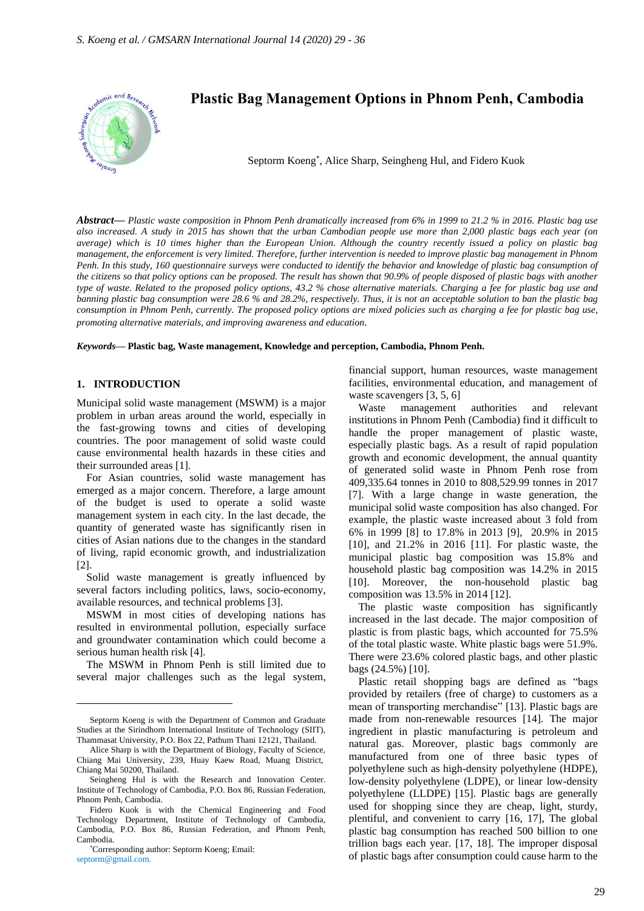

*Abstract***—** *Plastic waste composition in Phnom Penh dramatically increased from 6% in 1999 to 21.2 % in 2016. Plastic bag use also increased. A study in 2015 has shown that the urban Cambodian people use more than 2,000 plastic bags each year (on average) which is 10 times higher than the European Union. Although the country recently issued a policy on plastic bag management, the enforcement is very limited. Therefore, further intervention is needed to improve plastic bag management in Phnom Penh. In this study, 160 questionnaire surveys were conducted to identify the behavior and knowledge of plastic bag consumption of the citizens so that policy options can be proposed. The result has shown that 90.9% of people disposed of plastic bags with another type of waste. Related to the proposed policy options, 43.2 % chose alternative materials. Charging a fee for plastic bag use and banning plastic bag consumption were 28.6 % and 28.2%, respectively. Thus, it is not an acceptable solution to ban the plastic bag consumption in Phnom Penh, currently. The proposed policy options are mixed policies such as charging a fee for plastic bag use, promoting alternative materials, and improving awareness and education.*

*Keywords***— Plastic bag, Waste management, Knowledge and perception, Cambodia, Phnom Penh.**

# **1. INTRODUCTION**

Municipal solid waste management (MSWM) is a major problem in urban areas around the world, especially in the fast-growing towns and cities of developing countries. The poor management of solid waste could cause environmental health hazards in these cities and their surrounded areas [1].

For Asian countries, solid waste management has emerged as a major concern. Therefore, a large amount of the budget is used to operate a solid waste management system in each city. In the last decade, the quantity of generated waste has significantly risen in cities of Asian nations due to the changes in the standard of living, rapid economic growth, and industrialization [2].

Solid waste management is greatly influenced by several factors including politics, laws, socio-economy, available resources, and technical problems [3].

MSWM in most cities of developing nations has resulted in environmental pollution, especially surface and groundwater contamination which could become a serious human health risk [4].

The MSWM in Phnom Penh is still limited due to several major challenges such as the legal system, financial support, human resources, waste management facilities, environmental education, and management of waste scavengers [3, 5, 6]

Waste management authorities and relevant institutions in Phnom Penh (Cambodia) find it difficult to handle the proper management of plastic waste, especially plastic bags. As a result of rapid population growth and economic development, the annual quantity of generated solid waste in Phnom Penh rose from 409,335.64 tonnes in 2010 to 808,529.99 tonnes in 2017 [7]. With a large change in waste generation, the municipal solid waste composition has also changed. For example, the plastic waste increased about 3 fold from 6% in 1999 [8] to 17.8% in 2013 [9], 20.9% in 2015 [10], and 21.2% in 2016 [11]. For plastic waste, the municipal plastic bag composition was 15.8% and household plastic bag composition was 14.2% in 2015 [10]. Moreover, the non-household plastic bag composition was 13.5% in 2014 [12].

The plastic waste composition has significantly increased in the last decade. The major composition of plastic is from plastic bags, which accounted for 75.5% of the total plastic waste. White plastic bags were 51.9%. There were 23.6% colored plastic bags, and other plastic bags (24.5%) [10].

Plastic retail shopping bags are defined as "bags provided by retailers (free of charge) to customers as a mean of transporting merchandise" [13]. Plastic bags are made from non-renewable resources [14]. The major ingredient in plastic manufacturing is petroleum and natural gas. Moreover, plastic bags commonly are manufactured from one of three basic types of polyethylene such as high-density polyethylene (HDPE), low-density polyethylene (LDPE), or linear low-density polyethylene (LLDPE) [15]. Plastic bags are generally used for shopping since they are cheap, light, sturdy, plentiful, and convenient to carry [16, 17], The global plastic bag consumption has reached 500 billion to one trillion bags each year. [17, 18]. The improper disposal of plastic bags after consumption could cause harm to the

Septorm Koeng is with the Department of Common and Graduate Studies at the Sirindhorn International Institute of Technology (SIIT), Thammasat University, P.O. Box 22, Pathum Thani 12121, Thailand.

Alice Sharp is with the Department of Biology, Faculty of Science, Chiang Mai University, 239, Huay Kaew Road, Muang District, Chiang Mai 50200, Thailand.

Seingheng Hul is with the Research and Innovation Center. Institute of Technology of Cambodia, P.O. Box 86, Russian Federation, Phnom Penh, Cambodia.

Fidero Kuok is with the Chemical Engineering and Food Technology Department, Institute of Technology of Cambodia, Cambodia, P.O. Box 86, Russian Federation, and Phnom Penh, Cambodia.

<sup>\*</sup>Corresponding author: Septorm Koeng; Email: septorm@gmail.com.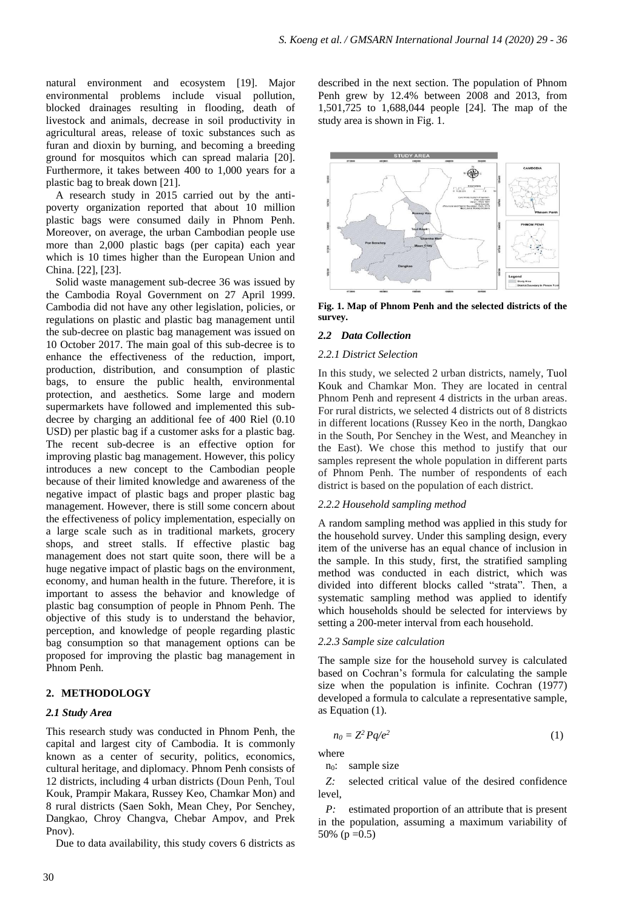natural environment and ecosystem [19]. Major environmental problems include visual pollution, blocked drainages resulting in flooding, death of livestock and animals, decrease in soil productivity in agricultural areas, release of toxic substances such as furan and dioxin by burning, and becoming a breeding ground for mosquitos which can spread malaria [20]. Furthermore, it takes between 400 to 1,000 years for a plastic bag to break down [21].

A research study in 2015 carried out by the antipoverty organization reported that about 10 million plastic bags were consumed daily in Phnom Penh. Moreover, on average, the urban Cambodian people use more than 2,000 plastic bags (per capita) each year which is 10 times higher than the European Union and China. [22], [23].

Solid waste management sub-decree 36 was issued by the Cambodia Royal Government on 27 April 1999. Cambodia did not have any other legislation, policies, or regulations on plastic and plastic bag management until the sub-decree on plastic bag management was issued on 10 October 2017. The main goal of this sub-decree is to enhance the effectiveness of the reduction, import, production, distribution, and consumption of plastic bags, to ensure the public health, environmental protection, and aesthetics. Some large and modern supermarkets have followed and implemented this subdecree by charging an additional fee of 400 Riel (0.10 USD) per plastic bag if a customer asks for a plastic bag. The recent sub-decree is an effective option for improving plastic bag management. However, this policy introduces a new concept to the Cambodian people because of their limited knowledge and awareness of the negative impact of plastic bags and proper plastic bag management. However, there is still some concern about the effectiveness of policy implementation, especially on a large scale such as in traditional markets, grocery shops, and street stalls. If effective plastic bag management does not start quite soon, there will be a huge negative impact of plastic bags on the environment, economy, and human health in the future. Therefore, it is important to assess the behavior and knowledge of plastic bag consumption of people in Phnom Penh. The objective of this study is to understand the behavior, perception, and knowledge of people regarding plastic bag consumption so that management options can be proposed for improving the plastic bag management in Phnom Penh.

# **2. METHODOLOGY**

### *2.1 Study Area*

This research study was conducted in Phnom Penh, the capital and largest city of Cambodia. It is commonly known as a center of security, politics, economics, cultural heritage, and diplomacy. Phnom Penh consists of 12 districts, including 4 urban districts (Doun Penh, Toul Kouk, Prampir Makara, Russey Keo, Chamkar Mon) and 8 rural districts (Saen Sokh, Mean Chey, Por Senchey, Dangkao, Chroy Changva, Chebar Ampov, and Prek Pnov).

Due to data availability, this study covers 6 districts as

described in the next section. The population of Phnom Penh grew by 12.4% between 2008 and 2013, from 1,501,725 to 1,688,044 people [24]. The map of the study area is shown in Fig. 1.



**Fig. 1. Map of Phnom Penh and the selected districts of the survey.** 

#### *2.2 Data Collection*

#### *2.2.1 District Selection*

In this study, we selected 2 urban districts, namely, Tuol Kouk and Chamkar Mon. They are located in central Phnom Penh and represent 4 districts in the urban areas. For rural districts, we selected 4 districts out of 8 districts in different locations (Russey Keo in the north, Dangkao in the South, Por Senchey in the West, and Meanchey in the East). We chose this method to justify that our samples represent the whole population in different parts of Phnom Penh. The number of respondents of each district is based on the population of each district.

## *2.2.2 Household sampling method*

A random sampling method was applied in this study for the household survey. Under this sampling design, every item of the universe has an equal chance of inclusion in the sample. In this study, first, the stratified sampling method was conducted in each district, which was divided into different blocks called "strata". Then, a systematic sampling method was applied to identify which households should be selected for interviews by setting a 200-meter interval from each household.

#### *2.2.3 Sample size calculation*

The sample size for the household survey is calculated based on Cochran's formula for calculating the sample size when the population is infinite. Cochran (1977) developed a formula to calculate a representative sample, as Equation (1).

$$
n_0 = Z^2 P q / e^2 \tag{1}
$$

where

n<sub>0</sub>: sample size

*Z:* selected critical value of the desired confidence level,

*P:* estimated proportion of an attribute that is present in the population, assuming a maximum variability of 50% ( $p = 0.5$ )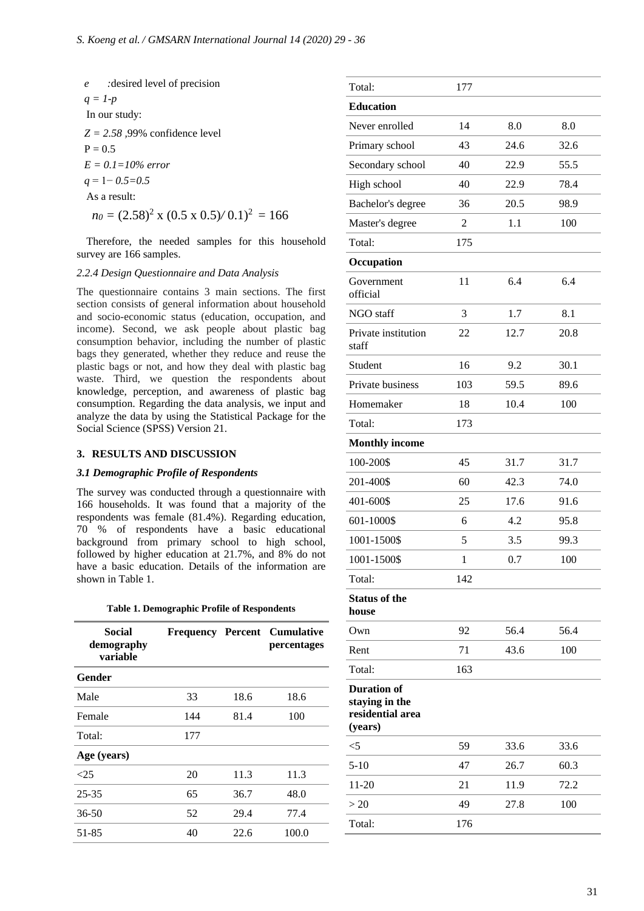*e :*desired level of precision  $q = 1-p$ In our study: *Z = 2.58 ,*99% confidence level  $P = 0.5$ *E = 0.1=10% error q* = 1− *0.5=0.5* As a result:  $n_0 = (2.58)^2$  x  $(0.5 \times 0.5)/0.1)^2 = 166$ 

Therefore, the needed samples for this household survey are 166 samples.

#### *2.2.4 Design Questionnaire and Data Analysis*

The questionnaire contains 3 main sections. The first section consists of general information about household and socio-economic status (education, occupation, and income). Second, we ask people about plastic bag consumption behavior, including the number of plastic bags they generated, whether they reduce and reuse the plastic bags or not, and how they deal with plastic bag waste. Third, we question the respondents about knowledge, perception, and awareness of plastic bag consumption. Regarding the data analysis, we input and analyze the data by using the Statistical Package for the Social Science (SPSS) Version 21.

#### **3. RESULTS AND DISCUSSION**

### *3.1 Demographic Profile of Respondents*

The survey was conducted through a questionnaire with 166 households. It was found that a majority of the respondents was female (81.4%). Regarding education, 70 % of respondents have a basic educational background from primary school to high school, followed by higher education at 21.7%, and 8% do not have a basic education. Details of the information are shown in Table 1.

|  | <b>Table 1. Demographic Profile of Respondents</b> |  |  |  |  |  |
|--|----------------------------------------------------|--|--|--|--|--|
|--|----------------------------------------------------|--|--|--|--|--|

| Social<br>demography<br>variable |     |      | <b>Frequency Percent Cumulative</b><br><i>percentages</i> |
|----------------------------------|-----|------|-----------------------------------------------------------|
| Gender                           |     |      |                                                           |
| Male                             | 33  | 18.6 | 18.6                                                      |
| Female                           | 144 | 81.4 | 100                                                       |
| Total:                           | 177 |      |                                                           |
| Age (years)                      |     |      |                                                           |
| <25                              | 20  | 11.3 | 11.3                                                      |
| $25 - 35$                        | 65  | 36.7 | 48.0                                                      |
| $36 - 50$                        | 52  | 29.4 | 77.4                                                      |
| 51-85                            | 40  | 22.6 | 100.0                                                     |
|                                  |     |      |                                                           |

| Total:                                                              | 177          |      |      |  |
|---------------------------------------------------------------------|--------------|------|------|--|
| <b>Education</b>                                                    |              |      |      |  |
| Never enrolled                                                      | 14           | 8.0  | 8.0  |  |
| Primary school                                                      | 43           | 24.6 | 32.6 |  |
| Secondary school                                                    | 40           | 22.9 | 55.5 |  |
| High school                                                         | 40           | 22.9 | 78.4 |  |
| Bachelor's degree                                                   | 36           | 20.5 | 98.9 |  |
| Master's degree                                                     | 2            | 1.1  | 100  |  |
| Total:                                                              | 175          |      |      |  |
| Occupation                                                          |              |      |      |  |
| Government<br>official                                              | 11           | 6.4  | 6.4  |  |
| NGO staff                                                           | 3            | 1.7  | 8.1  |  |
| Private institution<br>staff                                        | 22           | 12.7 | 20.8 |  |
| Student                                                             | 16           | 9.2  | 30.1 |  |
| Private business                                                    | 103          | 59.5 | 89.6 |  |
| Homemaker                                                           | 18           | 10.4 | 100  |  |
| Total:                                                              | 173          |      |      |  |
| <b>Monthly income</b>                                               |              |      |      |  |
| 100-200\$                                                           | 45           | 31.7 | 31.7 |  |
| 201-400\$                                                           | 60           | 42.3 | 74.0 |  |
| 401-600\$                                                           | 25           | 17.6 | 91.6 |  |
| 601-1000\$                                                          | 6            | 4.2  | 95.8 |  |
| 1001-1500\$                                                         | 5            | 3.5  | 99.3 |  |
| 1001-1500\$                                                         | $\mathbf{1}$ | 0.7  | 100  |  |
| Total:                                                              | 142          |      |      |  |
| <b>Status of the</b><br>house                                       |              |      |      |  |
| Own                                                                 | 92           | 56.4 | 56.4 |  |
| Rent                                                                | 71           | 43.6 | 100  |  |
| Total:                                                              | 163          |      |      |  |
| <b>Duration of</b><br>staying in the<br>residential area<br>(years) |              |      |      |  |
| $<$ 5                                                               | 59           | 33.6 | 33.6 |  |
| $5 - 10$                                                            | 47           | 26.7 | 60.3 |  |
| $11-20$                                                             | 21           | 11.9 | 72.2 |  |
| >20                                                                 | 49           | 27.8 | 100  |  |
| Total:                                                              | 176          |      |      |  |
|                                                                     |              |      |      |  |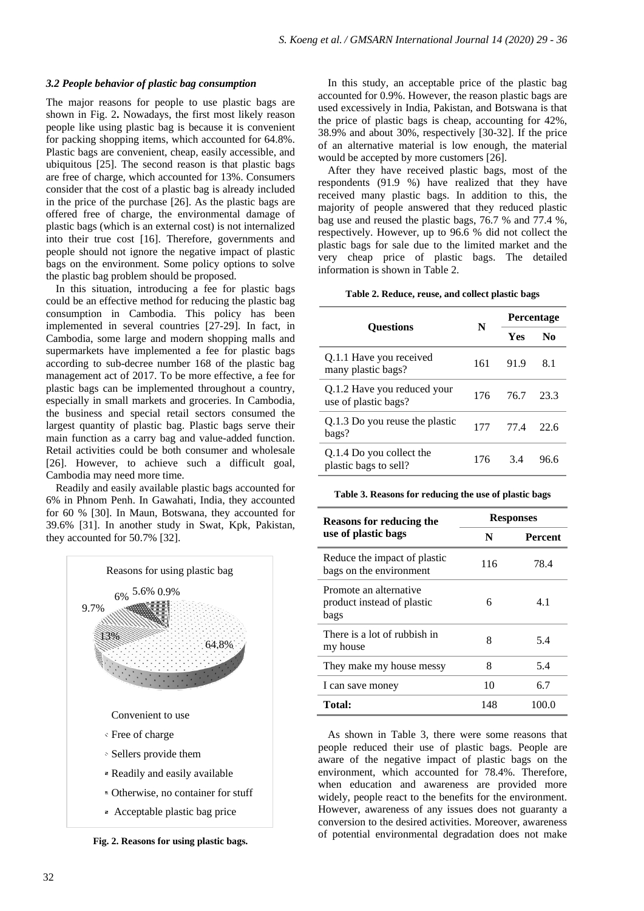#### *3.2 People behavior of plastic bag consumption*

The major reasons for people to use plastic bags are shown in Fig. 2**.** Nowadays, the first most likely reason people like using plastic bag is because it is convenient for packing shopping items, which accounted for  $64.8\%$ . Plastic bags are convenient, cheap, easily accessible, and ubiquitous [25]. The second reason is that plastic bags are free of charge, which accounted for 13%. Consumers consider that the cost of a plastic bag is already included in the price of the purchase [26]. As the plastic bags are offered free of charge, the environmental damage of plastic bags (which is an external cost) is not internalized into their true cost [16]. Therefore, governments and people should not ignore the negative impact of plastic bags on the environment. Some policy options to solve the plastic bag problem should be proposed.

In this situation, introducing a fee for plastic bags could be an effective method for reducing the plastic bag consumption in Cambodia. This policy has been implemented in several countries [27-29]. In fact, in Cambodia, some large and modern shopping malls and supermarkets have implemented a fee for plastic bags according to sub-decree number 168 of the plastic bag management act of 2017. To be more effective, a fee for plastic bags can be implemented throughout a country, especially in small markets and groceries. In Cambodia, the business and special retail sectors consumed the largest quantity of plastic bag. Plastic bags serve their main function as a carry bag and value-added function. Retail activities could be both consumer and wholesale [26]. However, to achieve such a difficult goal, Cambodia may need more time.

Readily and easily available plastic bags accounted for 6% in Phnom Penh. In Gawahati, India, they accounted for 60 % [30]. In Maun, Botswana, they accounted for 39.6% [31]. In another study in Swat, Kpk, Pakistan, they accounted for 50.7% [32].



**Fig. 2. Reasons for using plastic bags.**

In this study, an acceptable price of the plastic bag accounted for 0.9%. However, the reason plastic bags are used excessively in India, Pakistan, and Botswana is that the price of plastic bags is cheap, accounting for 42%, 38.9% and about 30%, respectively [30-32]. If the price of an alternative material is low enough, the material would be accepted by more customers [26].

After they have received plastic bags, most of the respondents (91.9 %) have realized that they have received many plastic bags. In addition to this, the majority of people answered that they reduced plastic bag use and reused the plastic bags, 76.7 % and 77.4 %, respectively. However, up to 96.6 % did not collect the plastic bags for sale due to the limited market and the very cheap price of plastic bags. The detailed information is shown in Table 2.

#### **Table 2. Reduce, reuse, and collect plastic bags**

|                                                     |     | <b>Percentage</b> |      |  |
|-----------------------------------------------------|-----|-------------------|------|--|
| <b>Ouestions</b>                                    | N   | <b>Yes</b>        | No   |  |
| Q.1.1 Have you received<br>many plastic bags?       | 161 | 91.9              | 8.1  |  |
| Q.1.2 Have you reduced your<br>use of plastic bags? | 176 | 76.7              | 23.3 |  |
| Q.1.3 Do you reuse the plastic<br>bags?             | 177 | 77 4              | 22.6 |  |
| Q.1.4 Do you collect the<br>plastic bags to sell?   | 176 | 3.4               | 96.6 |  |

#### **Table 3. Reasons for reducing the use of plastic bags**

| Reasons for reducing the                                     | <b>Responses</b> |                |  |
|--------------------------------------------------------------|------------------|----------------|--|
| use of plastic bags                                          | N                | <b>Percent</b> |  |
| Reduce the impact of plastic<br>bags on the environment      | 116              | 78.4           |  |
| Promote an alternative<br>product instead of plastic<br>bags | 6                | 4.1            |  |
| There is a lot of rubbish in<br>my house                     | 8                | 5.4            |  |
| They make my house messy                                     | 8                | 5.4            |  |
| I can save money                                             | 10               | 6.7            |  |
| Total:                                                       | 148              | 100.0          |  |

As shown in Table 3, there were some reasons that people reduced their use of plastic bags. People are aware of the negative impact of plastic bags on the environment, which accounted for 78.4%. Therefore, when education and awareness are provided more widely, people react to the benefits for the environment. However, awareness of any issues does not guaranty a conversion to the desired activities. Moreover, awareness of potential environmental degradation does not make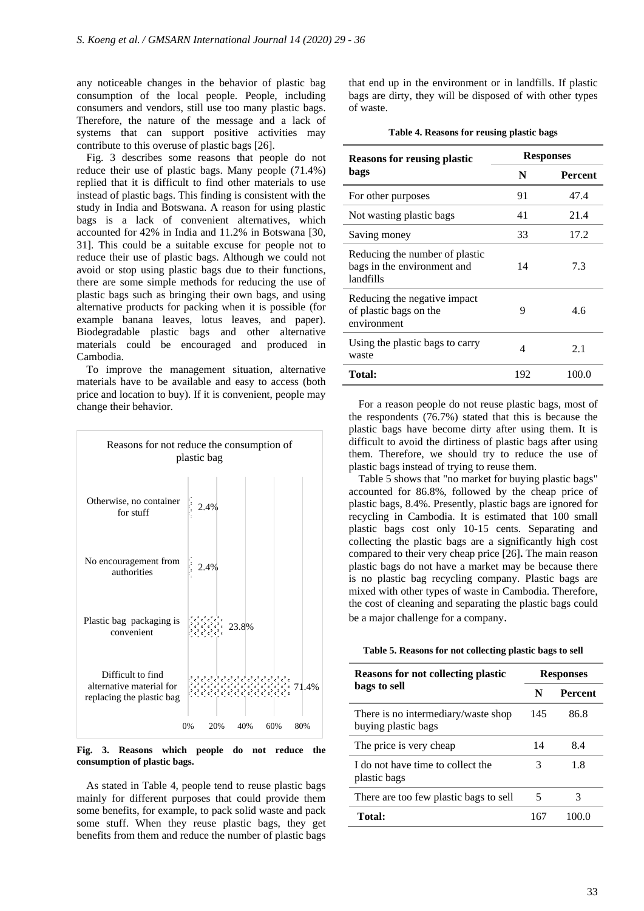any noticeable changes in the behavior of plastic bag consumption of the local people. People, including consumers and vendors, still use too many plastic bags. Therefore, the nature of the message and a lack of systems that can support positive activities may contribute to this overuse of plastic bags [26].

Fig. 3 describes some reasons that people do not reduce their use of plastic bags. Many people (71.4%) replied that it is difficult to find other materials to use instead of plastic bags. This finding is consistent with the study in India and Botswana. A reason for using plastic bags is a lack of convenient alternatives, which accounted for 42% in India and 11.2% in Botswana [30, 31]. This could be a suitable excuse for people not to reduce their use of plastic bags. Although we could not avoid or stop using plastic bags due to their functions, there are some simple methods for reducing the use of plastic bags such as bringing their own bags, and using alternative products for packing when it is possible (for example banana leaves, lotus leaves, and paper). Biodegradable plastic bags and other alternative materials could be encouraged and produced in Cambodia.

To improve the management situation, alternative materials have to be available and easy to access (both price and location to buy). If it is convenient, people may change their behavior.



**Fig. 3. Reasons which people do not reduce the consumption of plastic bags.**

As stated in Table 4, people tend to reuse plastic bags mainly for different purposes that could provide them some benefits, for example, to pack solid waste and pack some stuff. When they reuse plastic bags, they get benefits from them and reduce the number of plastic bags

that end up in the environment or in landfills. If plastic bags are dirty, they will be disposed of with other types of waste.

| Table 4. Reasons for reusing plastic bags |  |  |
|-------------------------------------------|--|--|
|                                           |  |  |

| <b>Reasons for reusing plastic</b>                                         | <b>Responses</b> |                |  |
|----------------------------------------------------------------------------|------------------|----------------|--|
| bags                                                                       | N                | <b>Percent</b> |  |
| For other purposes                                                         | 91               | 47.4           |  |
| Not wasting plastic bags                                                   | 41               | 21.4           |  |
| Saving money                                                               | 33               | 17.2           |  |
| Reducing the number of plastic<br>bags in the environment and<br>landfills | 14               | 7.3            |  |
| Reducing the negative impact<br>of plastic bags on the<br>environment      | 9                | 4.6            |  |
| Using the plastic bags to carry<br>waste                                   | 4                | 2.1            |  |
| Total:                                                                     | 192              | 100.0          |  |

For a reason people do not reuse plastic bags, most of the respondents (76.7%) stated that this is because the plastic bags have become dirty after using them. It is difficult to avoid the dirtiness of plastic bags after using them. Therefore, we should try to reduce the use of plastic bags instead of trying to reuse them.

Table 5 shows that "no market for buying plastic bags" accounted for 86.8%, followed by the cheap price of plastic bags, 8.4%. Presently, plastic bags are ignored for recycling in Cambodia. It is estimated that 100 small plastic bags cost only 10-15 cents. Separating and collecting the plastic bags are a significantly high cost compared to their very cheap price [26]**.** The main reason plastic bags do not have a market may be because there is no plastic bag recycling company. Plastic bags are mixed with other types of waste in Cambodia. Therefore, the cost of cleaning and separating the plastic bags could be a major challenge for a company.

**Table 5. Reasons for not collecting plastic bags to sell**

| <b>Reasons for not collecting plastic</b>                  | <b>Responses</b> |                |  |
|------------------------------------------------------------|------------------|----------------|--|
| bags to sell                                               | N                | <b>Percent</b> |  |
| There is no intermediary/waste shop<br>buying plastic bags | 145              | 86.8           |  |
| The price is very cheap                                    | 14               | 8.4            |  |
| I do not have time to collect the<br>plastic bags          | 3                | 1.8            |  |
| There are too few plastic bags to sell                     | 5                | 3              |  |
| <b>Total:</b>                                              | 167              | 100.0          |  |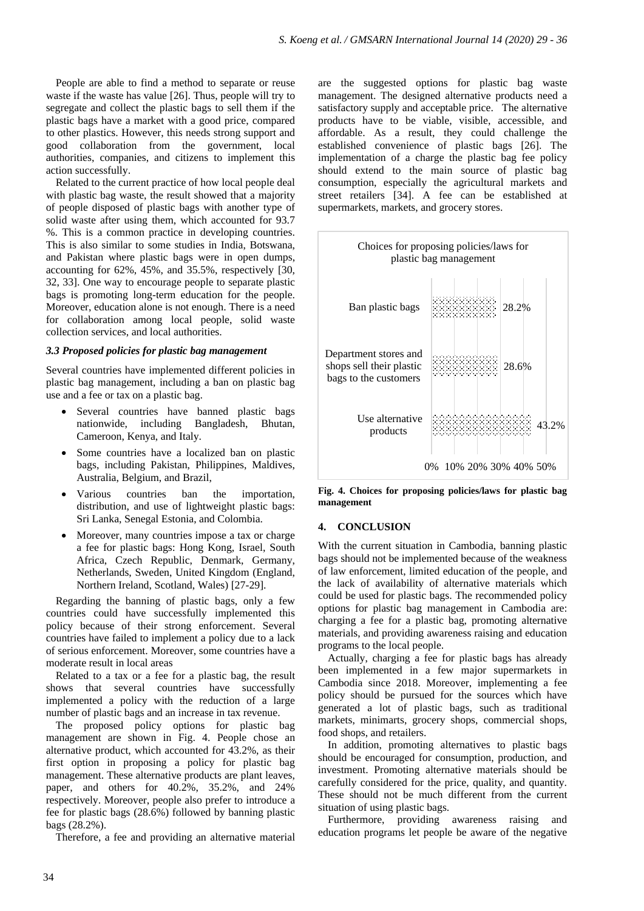People are able to find a method to separate or reuse waste if the waste has value [26]. Thus, people will try to segregate and collect the plastic bags to sell them if the plastic bags have a market with a good price, compared to other plastics. However, this needs strong support and good collaboration from the government, local authorities, companies, and citizens to implement this action successfully.

Related to the current practice of how local people deal with plastic bag waste, the result showed that a majority of people disposed of plastic bags with another type of solid waste after using them, which accounted for 93.7 %. This is a common practice in developing countries. This is also similar to some studies in India, Botswana, and Pakistan where plastic bags were in open dumps, accounting for 62%, 45%, and 35.5%, respectively [30, 32, 33]. One way to encourage people to separate plastic bags is promoting long-term education for the people. Moreover, education alone is not enough. There is a need for collaboration among local people, solid waste collection services, and local authorities.

#### *3.3 Proposed policies for plastic bag management*

Several countries have implemented different policies in plastic bag management, including a ban on plastic bag use and a fee or tax on a plastic bag.

- Several countries have banned plastic bags nationwide, including Bangladesh, Bhutan, Cameroon, Kenya, and Italy.
- Some countries have a localized ban on plastic bags, including Pakistan, Philippines, Maldives, Australia, Belgium, and Brazil,
- Various countries ban the importation, distribution, and use of lightweight plastic bags: Sri Lanka, Senegal Estonia, and Colombia.
- Moreover, many countries impose a tax or charge a fee for plastic bags: Hong Kong, Israel, South Africa, Czech Republic, Denmark, Germany, Netherlands, Sweden, United Kingdom (England, Northern Ireland, Scotland, Wales) [27-29].

Regarding the banning of plastic bags, only a few countries could have successfully implemented this policy because of their strong enforcement. Several countries have failed to implement a policy due to a lack of serious enforcement. Moreover, some countries have a moderate result in local areas

Related to a tax or a fee for a plastic bag, the result shows that several countries have successfully implemented a policy with the reduction of a large number of plastic bags and an increase in tax revenue.

The proposed policy options for plastic bag management are shown in Fig. 4. People chose an alternative product, which accounted for 43.2%, as their first option in proposing a policy for plastic bag management. These alternative products are plant leaves, paper, and others for 40.2%, 35.2%, and 24% respectively. Moreover, people also prefer to introduce a fee for plastic bags (28.6%) followed by banning plastic bags (28.2%).

Therefore, a fee and providing an alternative material

are the suggested options for plastic bag waste management. The designed alternative products need a satisfactory supply and acceptable price. The alternative products have to be viable, visible, accessible, and affordable. As a result, they could challenge the established convenience of plastic bags [26]. The implementation of a charge the plastic bag fee policy should extend to the main source of plastic bag consumption, especially the agricultural markets and street retailers [34]. A fee can be established at supermarkets, markets, and grocery stores.



**Fig. 4. Choices for proposing policies/laws for plastic bag management**

#### **4. CONCLUSION**

With the current situation in Cambodia, banning plastic bags should not be implemented because of the weakness of law enforcement, limited education of the people, and the lack of availability of alternative materials which could be used for plastic bags. The recommended policy options for plastic bag management in Cambodia are: charging a fee for a plastic bag, promoting alternative materials, and providing awareness raising and education programs to the local people.

Actually, charging a fee for plastic bags has already been implemented in a few major supermarkets in Cambodia since 2018. Moreover, implementing a fee policy should be pursued for the sources which have generated a lot of plastic bags, such as traditional markets, minimarts, grocery shops, commercial shops, food shops, and retailers.

In addition, promoting alternatives to plastic bags should be encouraged for consumption, production, and investment. Promoting alternative materials should be carefully considered for the price, quality, and quantity. These should not be much different from the current situation of using plastic bags.

Furthermore, providing awareness raising and education programs let people be aware of the negative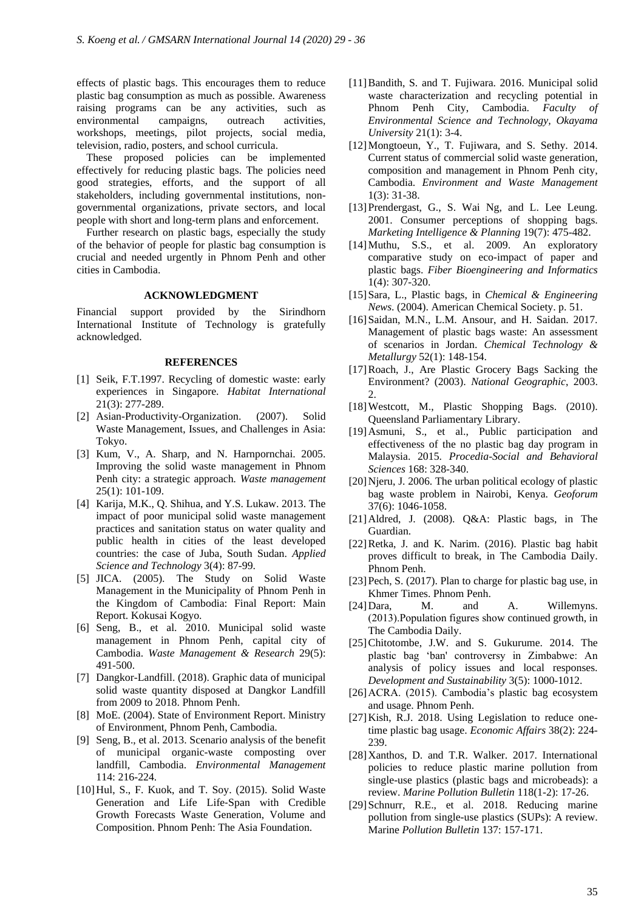effects of plastic bags. This encourages them to reduce plastic bag consumption as much as possible. Awareness raising programs can be any activities, such as environmental campaigns, outreach activities, workshops, meetings, pilot projects, social media, television, radio, posters, and school curricula.

These proposed policies can be implemented effectively for reducing plastic bags. The policies need good strategies, efforts, and the support of all stakeholders, including governmental institutions, nongovernmental organizations, private sectors, and local people with short and long-term plans and enforcement.

Further research on plastic bags, especially the study of the behavior of people for plastic bag consumption is crucial and needed urgently in Phnom Penh and other cities in Cambodia.

# **ACKNOWLEDGMENT**

Financial support provided by the Sirindhorn International Institute of Technology is gratefully acknowledged.

## **REFERENCES**

- [1] Seik, F.T.1997. Recycling of domestic waste: early experiences in Singapore. *Habitat International* 21(3): 277-289.
- [2] Asian-Productivity-Organization. (2007). Solid Waste Management, Issues, and Challenges in Asia: Tokyo.
- [3] Kum, V., A. Sharp, and N. Harnpornchai. 2005. Improving the solid waste management in Phnom Penh city: a strategic approach*. Waste management* 25(1): 101-109.
- [4] Karija, M.K., Q. Shihua, and Y.S. Lukaw. 2013. The impact of poor municipal solid waste management practices and sanitation status on water quality and public health in cities of the least developed countries: the case of Juba, South Sudan. *Applied Science and Technology* 3(4): 87-99.
- [5] JICA. (2005). The Study on Solid Waste Management in the Municipality of Phnom Penh in the Kingdom of Cambodia: Final Report: Main Report. Kokusai Kogyo.
- [6] Seng, B., et al. 2010. Municipal solid waste management in Phnom Penh, capital city of Cambodia. *Waste Management & Research* 29(5): 491-500.
- [7] Dangkor-Landfill. (2018). Graphic data of municipal solid waste quantity disposed at Dangkor Landfill from 2009 to 2018. Phnom Penh.
- [8] MoE. (2004). State of Environment Report. Ministry of Environment, Phnom Penh, Cambodia.
- [9] Seng, B., et al. 2013. Scenario analysis of the benefit of municipal organic-waste composting over landfill, Cambodia. *Environmental Management*  114: 216-224.
- [10]Hul, S., F. Kuok, and T. Soy. (2015). Solid Waste Generation and Life Life‐Span with Credible Growth Forecasts Waste Generation, Volume and Composition. Phnom Penh: The Asia Foundation.
- [11]Bandith, S. and T. Fujiwara. 2016. Municipal solid waste characterization and recycling potential in Phnom Penh City, Cambodia. *Faculty of Environmental Science and Technology, Okayama University* 21(1): 3-4.
- [12]Mongtoeun, Y., T. Fujiwara, and S. Sethy. 2014. Current status of commercial solid waste generation, composition and management in Phnom Penh city, Cambodia. *Environment and Waste Management*  1(3): 31-38.
- [13]Prendergast, G., S. Wai Ng, and L. Lee Leung. 2001. Consumer perceptions of shopping bags. *Marketing Intelligence & Planning* 19(7): 475-482.
- [14]Muthu, S.S., et al. 2009. An exploratory comparative study on eco-impact of paper and plastic bags. *Fiber Bioengineering and Informatics* 1(4): 307-320.
- [15]Sara, L., Plastic bags, in *Chemical & Engineering News*. (2004). American Chemical Society. p. 51.
- [16]Saidan, M.N., L.M. Ansour, and H. Saidan. 2017. Management of plastic bags waste: An assessment of scenarios in Jordan. *Chemical Technology & Metallurgy* 52(1): 148-154.
- [17]Roach, J., Are Plastic Grocery Bags Sacking the Environment? (2003). *National Geographic*, 2003. 2.
- [18]Westcott, M., Plastic Shopping Bags. (2010). Queensland Parliamentary Library.
- [19]Asmuni, S., et al., Public participation and effectiveness of the no plastic bag day program in Malaysia. 2015. *Procedia-Social and Behavioral Sciences* 168: 328-340.
- [20]Njeru, J. 2006. The urban political ecology of plastic bag waste problem in Nairobi, Kenya. *Geoforum* 37(6): 1046-1058.
- [21]Aldred, J. (2008). Q&A: Plastic bags, in The Guardian.
- [22]Retka, J. and K. Narim. (2016). Plastic bag habit proves difficult to break, in The Cambodia Daily. Phnom Penh.
- [23] Pech, S. (2017). Plan to charge for plastic bag use, in Khmer Times. Phnom Penh.
- [24]Dara, M. and A. Willemyns. (2013).Population figures show continued growth, in The Cambodia Daily.
- [25]Chitotombe, J.W. and S. Gukurume. 2014. The plastic bag 'ban' controversy in Zimbabwe: An analysis of policy issues and local responses. *Development and Sustainability* 3(5): 1000-1012.
- [26]ACRA. (2015). Cambodia's plastic bag ecosystem and usage. Phnom Penh.
- [27] Kish, R.J. 2018. Using Legislation to reduce onetime plastic bag usage. *Economic Affairs* 38(2): 224- 239.
- [28]Xanthos, D. and T.R. Walker. 2017. International policies to reduce plastic marine pollution from single-use plastics (plastic bags and microbeads): a review. *Marine Pollution Bulletin* 118(1-2): 17-26.
- [29]Schnurr, R.E., et al. 2018. Reducing marine pollution from single-use plastics (SUPs): A review. Marine *Pollution Bulletin* 137: 157-171.